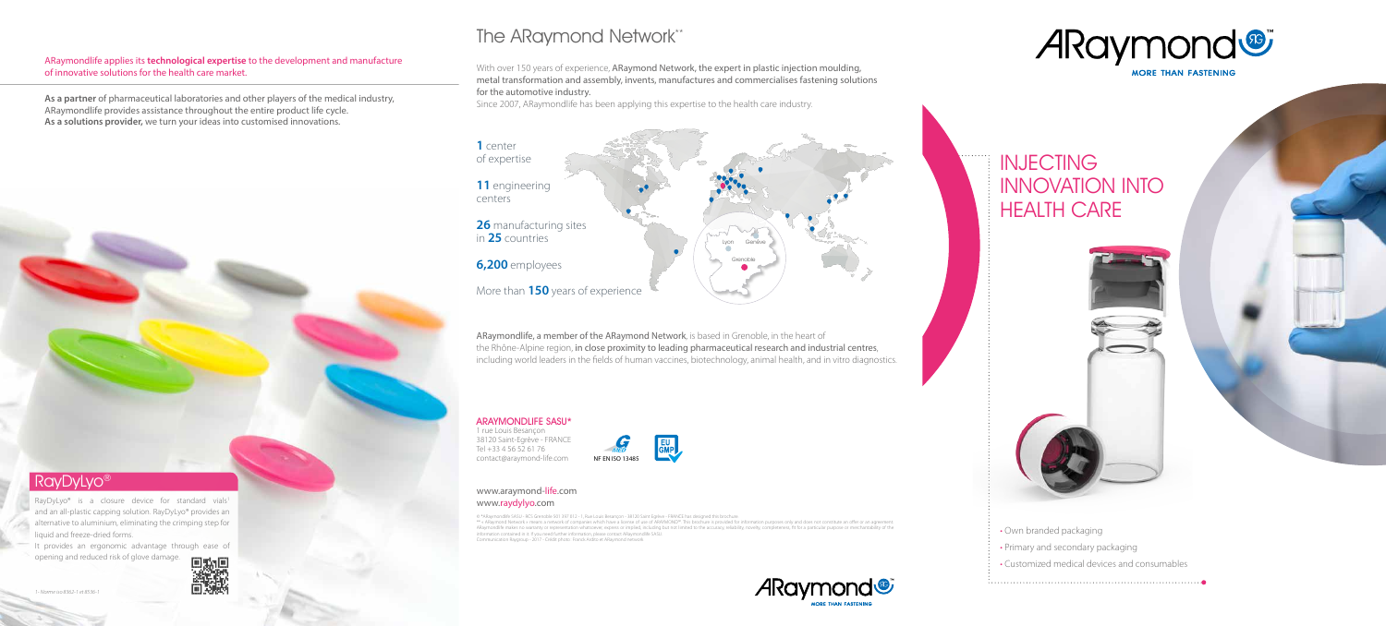- Own branded packaging
- Primary and secondary packaging
- Customized medical devices and consumables

#### www.araymond-life.com www.raydylyo.com

© \*ARaymondlife SASU - RCS Grenoble 501 397 012 - 1, Rue Louis Besançon - 38120 Saint Egrève - FRANCE has designed this brochure.<br>\*\* « ARaymond Network » means a network of companies which have a license of use of ARAYMON ARaymondlife makes no warranty or representation whatsoever, express or implied, including but not limited to the accuracy, reliability, novelty, completeness, fit for a particular purpose or merchantability of the information contained in it. If you need further information, please contact ARaymondlife SASU. ommunication Raygroup - 2017 - Crédit photo: Franck Ardito et ARaymond networ

#### RayDyLyo<sup>®</sup>

RayDyLyo<sup>®</sup> is a closure device for standard vials<sup>1</sup> and an all-plastic capping solution. RayDyLyo® provides an alternative to aluminium, eliminating the crimping step for liquid and freeze-dried forms.

With over 150 years of experience, ARaymond Network, the expert in plastic injection moulding, metal transformation and assembly, invents, manufactures and commercialises fastening solutions for the automotive industry.

Since 2007, ARaymondlife has been applying this expertise to the health care industry.

ARaymondlife applies its **technological expertise** to the development and manufacture of innovative solutions for the health care market.

**As a partner** of pharmaceutical laboratories and other players of the medical industry, ARaymondlife provides assistance throughout the entire product life cycle. **As a solutions provider,** we turn your ideas into customised innovations.

# The ARaymond Network\*\*

It provides an ergonomic advantage through ease of opening and reduced risk of glove damage.







**INJECTING** INNOVATION INTO **HEALTH CARE** 



ARaymondlife, a member of the ARaymond Network, is based in Grenoble, in the heart of the Rhône-Alpine region, in close proximity to leading pharmaceutical research and industrial centres, including world leaders in the fields of human vaccines, biotechnology, animal health, and in vitro diagnostics.





#### ARAYMONDLIFE SASU\*

1 rue Louis Besançon 38120 Saint-Egrève - FRANCE Tel +33 4 56 52 61 76 contact@araymond-life.com